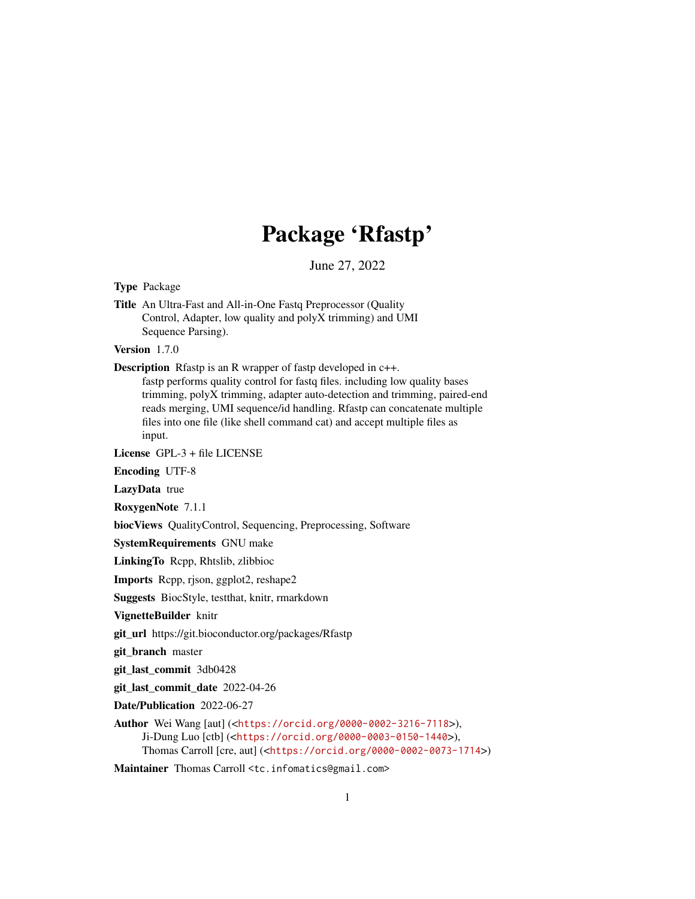# Package 'Rfastp'

June 27, 2022

Type Package

Title An Ultra-Fast and All-in-One Fastq Preprocessor (Quality Control, Adapter, low quality and polyX trimming) and UMI Sequence Parsing).

Version 1.7.0

Description Rfastp is an R wrapper of fastp developed in c++.

fastp performs quality control for fastq files. including low quality bases trimming, polyX trimming, adapter auto-detection and trimming, paired-end reads merging, UMI sequence/id handling. Rfastp can concatenate multiple files into one file (like shell command cat) and accept multiple files as input.

License GPL-3 + file LICENSE

Encoding UTF-8

LazyData true

RoxygenNote 7.1.1

biocViews QualityControl, Sequencing, Preprocessing, Software

SystemRequirements GNU make

LinkingTo Rcpp, Rhtslib, zlibbioc

Imports Rcpp, rjson, ggplot2, reshape2

Suggests BiocStyle, testthat, knitr, rmarkdown

VignetteBuilder knitr

git\_url https://git.bioconductor.org/packages/Rfastp

git\_branch master

git\_last\_commit 3db0428

git\_last\_commit\_date 2022-04-26

Date/Publication 2022-06-27

Author Wei Wang [aut] (<<https://orcid.org/0000-0002-3216-7118>>), Ji-Dung Luo [ctb] (<<https://orcid.org/0000-0003-0150-1440>>), Thomas Carroll [cre, aut] (<<https://orcid.org/0000-0002-0073-1714>>)

Maintainer Thomas Carroll <tc.infomatics@gmail.com>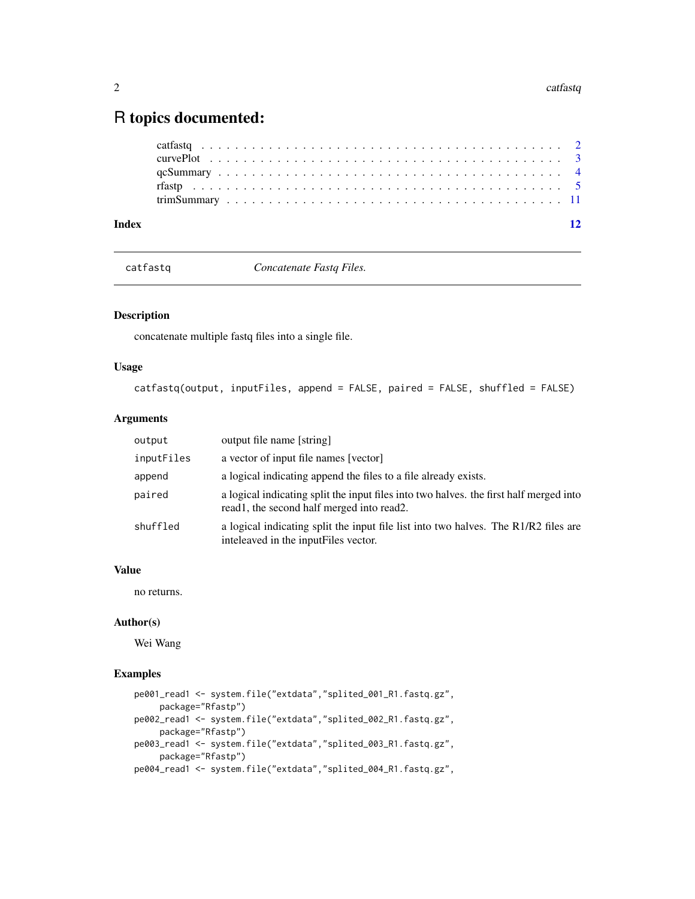# <span id="page-1-0"></span>R topics documented:

| Index |  |  |  |  |  |  |  |  |  |  |  |  |  |  |  |  |  |  | 12 |
|-------|--|--|--|--|--|--|--|--|--|--|--|--|--|--|--|--|--|--|----|
|       |  |  |  |  |  |  |  |  |  |  |  |  |  |  |  |  |  |  |    |
|       |  |  |  |  |  |  |  |  |  |  |  |  |  |  |  |  |  |  |    |
|       |  |  |  |  |  |  |  |  |  |  |  |  |  |  |  |  |  |  |    |
|       |  |  |  |  |  |  |  |  |  |  |  |  |  |  |  |  |  |  |    |
|       |  |  |  |  |  |  |  |  |  |  |  |  |  |  |  |  |  |  |    |

catfastq *Concatenate Fastq Files.*

# Description

concatenate multiple fastq files into a single file.

# Usage

```
catfastq(output, inputFiles, append = FALSE, paired = FALSE, shuffled = FALSE)
```
# Arguments

| output     | output file name [string]                                                                                                             |
|------------|---------------------------------------------------------------------------------------------------------------------------------------|
| inputFiles | a vector of input file names [vector]                                                                                                 |
| append     | a logical indicating append the files to a file already exists.                                                                       |
| paired     | a logical indicating split the input files into two halves, the first half merged into<br>read 1, the second half merged into read 2. |
| shuffled   | a logical indicating split the input file list into two halves. The R1/R2 files are<br>inteleaved in the inputFiles vector.           |

# Value

no returns.

# Author(s)

Wei Wang

# Examples

```
pe001_read1 <- system.file("extdata","splited_001_R1.fastq.gz",
     package="Rfastp")
pe002_read1 <- system.file("extdata","splited_002_R1.fastq.gz",
    package="Rfastp")
pe003_read1 <- system.file("extdata","splited_003_R1.fastq.gz",
    package="Rfastp")
pe004_read1 <- system.file("extdata","splited_004_R1.fastq.gz",
```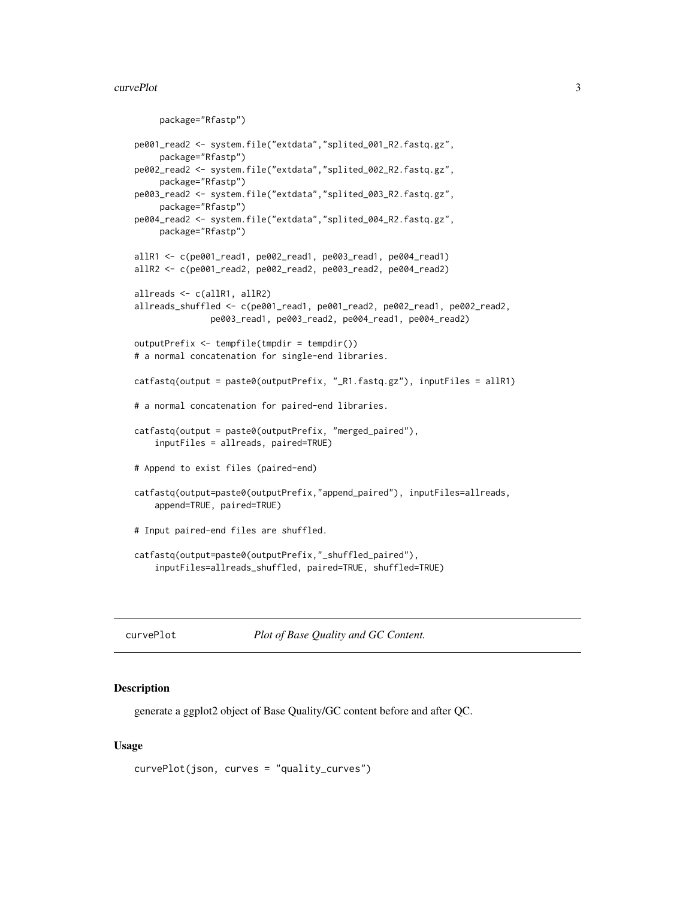#### <span id="page-2-0"></span>curvePlot 3

```
package="Rfastp")
pe001_read2 <- system.file("extdata","splited_001_R2.fastq.gz",
     package="Rfastp")
pe002_read2 <- system.file("extdata","splited_002_R2.fastq.gz",
     package="Rfastp")
pe003_read2 <- system.file("extdata","splited_003_R2.fastq.gz",
    package="Rfastp")
pe004_read2 <- system.file("extdata","splited_004_R2.fastq.gz",
    package="Rfastp")
allR1 <- c(pe001_read1, pe002_read1, pe003_read1, pe004_read1)
allR2 <- c(pe001_read2, pe002_read2, pe003_read2, pe004_read2)
allreads <- c(allR1, allR2)
allreads_shuffled <- c(pe001_read1, pe001_read2, pe002_read1, pe002_read2,
               pe003_read1, pe003_read2, pe004_read1, pe004_read2)
outputPrefix <- tempfile(tmpdir = tempdir())
# a normal concatenation for single-end libraries.
catfastq(output = paste0(outputPrefix, "_R1.fastq.gz"), inputFiles = allR1)
# a normal concatenation for paired-end libraries.
catfastq(output = paste0(outputPrefix, "merged_paired"),
    inputFiles = allreads, paired=TRUE)
# Append to exist files (paired-end)
catfastq(output=paste0(outputPrefix,"append_paired"), inputFiles=allreads,
    append=TRUE, paired=TRUE)
# Input paired-end files are shuffled.
catfastq(output=paste0(outputPrefix,"_shuffled_paired"),
    inputFiles=allreads_shuffled, paired=TRUE, shuffled=TRUE)
```
curvePlot *Plot of Base Quality and GC Content.*

#### **Description**

generate a ggplot2 object of Base Quality/GC content before and after QC.

#### Usage

```
curvePlot(json, curves = "quality_curves")
```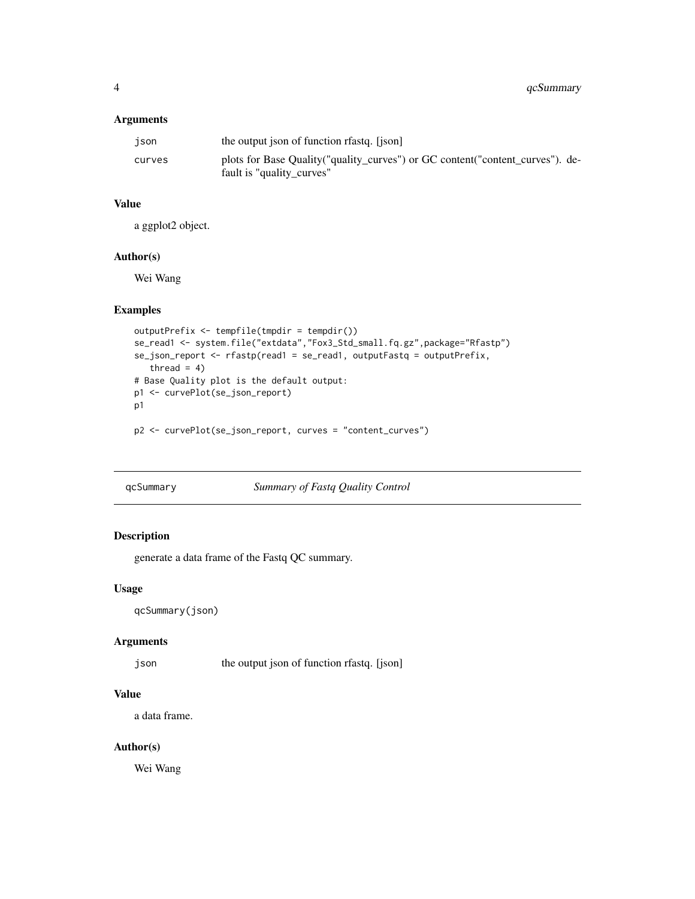# <span id="page-3-0"></span>Arguments

| json   | the output json of function relation [json]                                                                  |
|--------|--------------------------------------------------------------------------------------------------------------|
| curves | plots for Base Quality ("quality_curves") or GC content ("content_curves"). de-<br>fault is "quality_curves" |

#### Value

a ggplot2 object.

# Author(s)

Wei Wang

# Examples

```
outputPrefix <- tempfile(tmpdir = tempdir())
se_read1 <- system.file("extdata","Fox3_Std_small.fq.gz",package="Rfastp")
se_json_report <- rfastp(read1 = se_read1, outputFastq = outputPrefix,
  thread = 4)
# Base Quality plot is the default output:
p1 <- curvePlot(se_json_report)
p1
```
p2 <- curvePlot(se\_json\_report, curves = "content\_curves")

# qcSummary *Summary of Fastq Quality Control*

# Description

generate a data frame of the Fastq QC summary.

# Usage

```
qcSummary(json)
```
#### Arguments

json the output json of function rfastq. [json]

# Value

a data frame.

# Author(s)

Wei Wang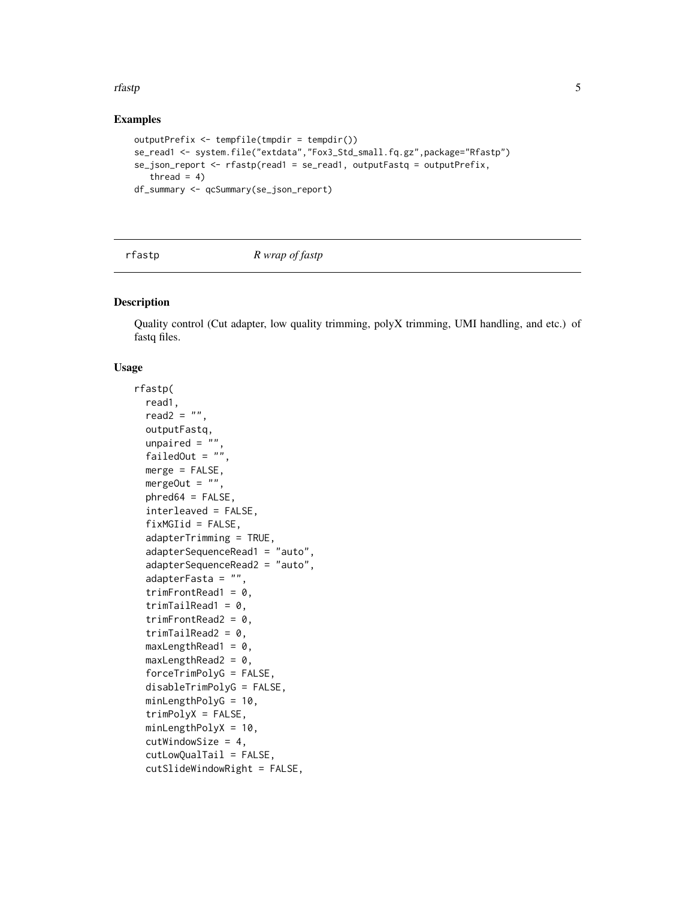#### <span id="page-4-0"></span>rfastp 5

# Examples

```
outputPrefix <- tempfile(tmpdir = tempdir())
se_read1 <- system.file("extdata","Fox3_Std_small.fq.gz",package="Rfastp")
se_json_report <- rfastp(read1 = se_read1, outputFastq = outputPrefix,
  thread = 4)
df_summary <- qcSummary(se_json_report)
```
rfastp *R wrap of fastp*

# Description

Quality control (Cut adapter, low quality trimming, polyX trimming, UMI handling, and etc.) of fastq files.

# Usage

```
rfastp(
  read1,
  read2 = "",
  outputFastq,
  unpaired = "failedOut = ""merge = FALSE,
 mergeOut = ",
 phred64 = FALSE,
  interleaved = FALSE,
  fixMGIid = FALSE,
  adapterTrimming = TRUE,
  adapterSequenceRead1 = "auto",
  adapterSequenceRead2 = "auto",
  adapterFasta = "",
  trimFrontRead1 = 0,trimTailRead1 = 0,trimFrontRead2 = 0,
  trimTailRead2 = 0,
  maxLengthRead1 = 0,
 maxLengthRead2 = 0,
  forceTrimPolyG = FALSE,
  disableTrimPolyG = FALSE,
  minLengthPolyG = 10,
  trimPolyX = FALSE,
  minLengthPolyX = 10,
  cutWindowSize = 4,
  cutLowQualTail = FALSE,
  cutSlideWindowRight = FALSE,
```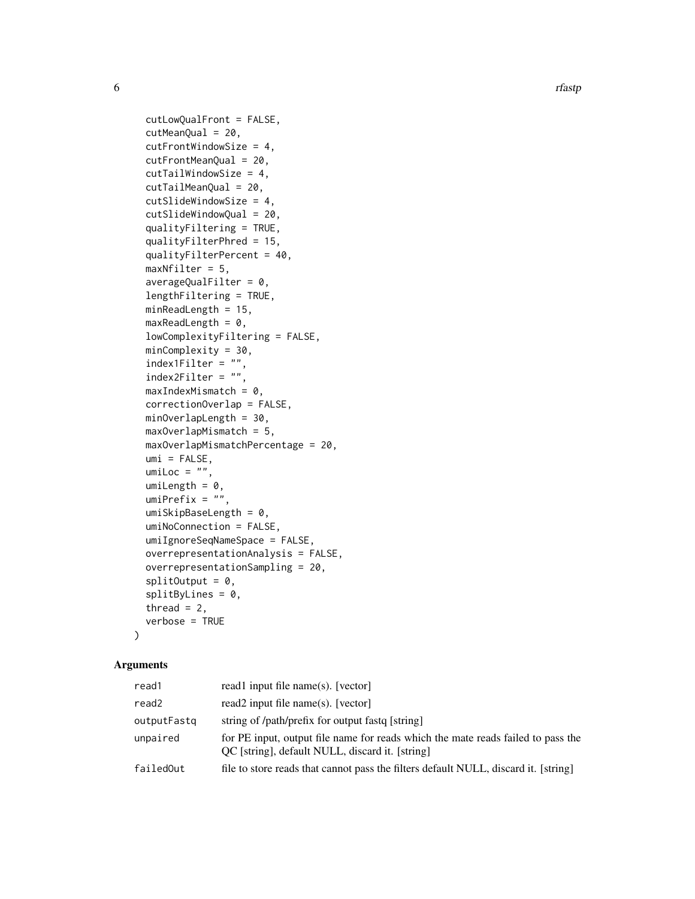6 rfastp

```
cutLowQualFront = FALSE,
cutMeanQual = 20,
cutFrontWindowSize = 4,
cutFrontMeanQual = 20,
cutTailWindowSize = 4,
cutTailMeanQual = 20,
cutSlideWindowSize = 4,
cutSlideWindowQual = 20,
qualityFiltering = TRUE,
qualityFilterPhred = 15,
qualityFilterPercent = 40,
maxNfilter = 5,
averageQualFilter = 0,lengthFiltering = TRUE,
minReadLength = 15,
maxReadLength = 0,
lowComplexityFiltering = FALSE,
minComplexity = 30,
index1Filter = "",
index2Filter = ".
maxIndexMismatch = 0,
correctionOverlap = FALSE,
minOverlapLength = 30,
maxOverlapMismatch = 5,
maxOverlapMismatchPercentage = 20,
umi = FALSE,umiloc = "",umilength = 0,
umiferetix = "",umiSkipBaseLength = 0,
umiNoConnection = FALSE,
umiIgnoreSeqNameSpace = FALSE,
overrepresentationAnalysis = FALSE,
overrepresentationSampling = 20,
splitOutput = 0,splitByLines = 0,thread = 2,
verbose = TRUE
```

```
\lambda
```
# Arguments

| read1       | read 1 input file name(s). [vector]                                                                                                 |
|-------------|-------------------------------------------------------------------------------------------------------------------------------------|
| read2       | read2 input file name(s). [vector]                                                                                                  |
| outputFastg | string of /path/prefix for output fast [string]                                                                                     |
| unpaired    | for PE input, output file name for reads which the mate reads failed to pass the<br>OC [string], default NULL, discard it. [string] |
| failedOut   | file to store reads that cannot pass the filters default NULL, discard it. [string]                                                 |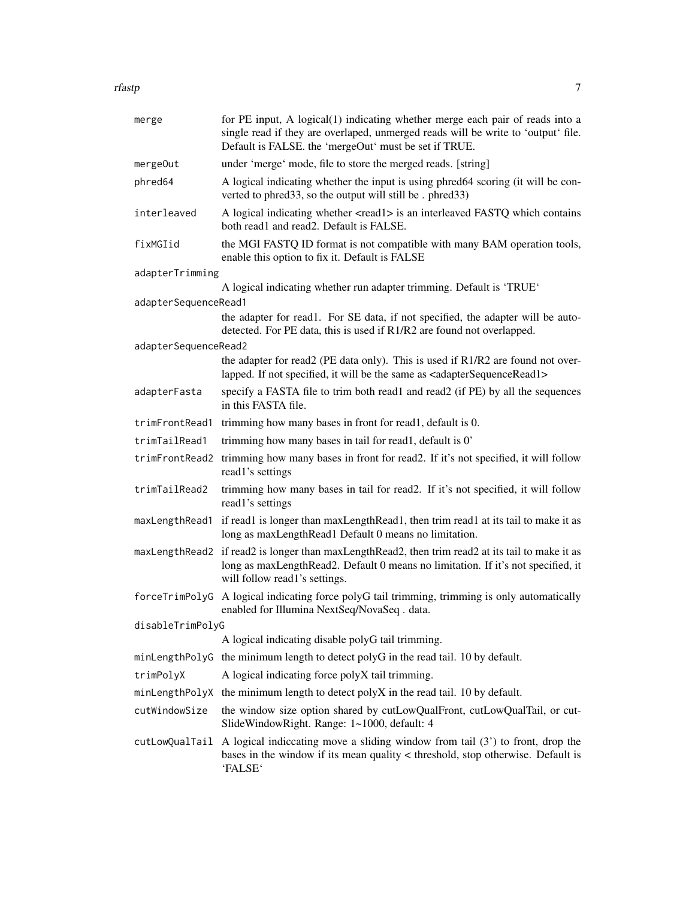| rfastp | $\overline{\phantom{0}}$ |  |
|--------|--------------------------|--|
|        |                          |  |
|        |                          |  |

| merge                | for PE input, A logical(1) indicating whether merge each pair of reads into a<br>single read if they are overlaped, unmerged reads will be write to 'output' file.<br>Default is FALSE. the 'mergeOut' must be set if TRUE. |
|----------------------|-----------------------------------------------------------------------------------------------------------------------------------------------------------------------------------------------------------------------------|
| mergeOut             | under 'merge' mode, file to store the merged reads. [string]                                                                                                                                                                |
| phred64              | A logical indicating whether the input is using phred64 scoring (it will be con-<br>verted to phred33, so the output will still be . phred33)                                                                               |
| interleaved          | A logical indicating whether <read1> is an interleaved FASTQ which contains<br/>both read1 and read2. Default is FALSE.</read1>                                                                                             |
| fixMGIid             | the MGI FASTQ ID format is not compatible with many BAM operation tools,<br>enable this option to fix it. Default is FALSE                                                                                                  |
| adapterTrimming      |                                                                                                                                                                                                                             |
| adapterSequenceRead1 | A logical indicating whether run adapter trimming. Default is 'TRUE'                                                                                                                                                        |
|                      | the adapter for read1. For SE data, if not specified, the adapter will be auto-<br>detected. For PE data, this is used if R1/R2 are found not overlapped.                                                                   |
| adapterSequenceRead2 |                                                                                                                                                                                                                             |
|                      | the adapter for read2 (PE data only). This is used if R1/R2 are found not over-<br>lapped. If not specified, it will be the same as <adaptersequenceread1></adaptersequenceread1>                                           |
| adapterFasta         | specify a FASTA file to trim both read1 and read2 (if PE) by all the sequences<br>in this FASTA file.                                                                                                                       |
| trimFrontRead1       | trimming how many bases in front for read1, default is 0.                                                                                                                                                                   |
| trimTailRead1        | trimming how many bases in tail for read1, default is 0'                                                                                                                                                                    |
| trimFrontRead2       | trimming how many bases in front for read2. If it's not specified, it will follow<br>read1's settings                                                                                                                       |
| trimTailRead2        | trimming how many bases in tail for read2. If it's not specified, it will follow<br>read1's settings                                                                                                                        |
| maxLengthRead1       | if read1 is longer than maxLengthRead1, then trim read1 at its tail to make it as<br>long as maxLengthRead1 Default 0 means no limitation.                                                                                  |
|                      | maxLengthRead2 if read2 is longer than maxLengthRead2, then trim read2 at its tail to make it as<br>long as maxLengthRead2. Default 0 means no limitation. If it's not specified, it<br>will follow read1's settings.       |
| forceTrimPolyG       | A logical indicating force polyG tail trimming, trimming is only automatically<br>enabled for Illumina NextSeq/NovaSeq. data.                                                                                               |
| disableTrimPolyG     |                                                                                                                                                                                                                             |
|                      | A logical indicating disable polyG tail trimming.                                                                                                                                                                           |
|                      | minLengthPolyG the minimum length to detect polyG in the read tail. 10 by default.                                                                                                                                          |
| trimPolyX            | A logical indicating force polyX tail trimming.                                                                                                                                                                             |
| minLengthPolyX       | the minimum length to detect polyX in the read tail. 10 by default.                                                                                                                                                         |
| cutWindowSize        | the window size option shared by cutLowQualFront, cutLowQualTail, or cut-<br>SlideWindowRight. Range: 1~1000, default: 4                                                                                                    |
| cutLowQualTail       | A logical indiccating move a sliding window from tail $(3')$ to front, drop the<br>bases in the window if its mean quality < threshold, stop otherwise. Default is<br>'FALSE'                                               |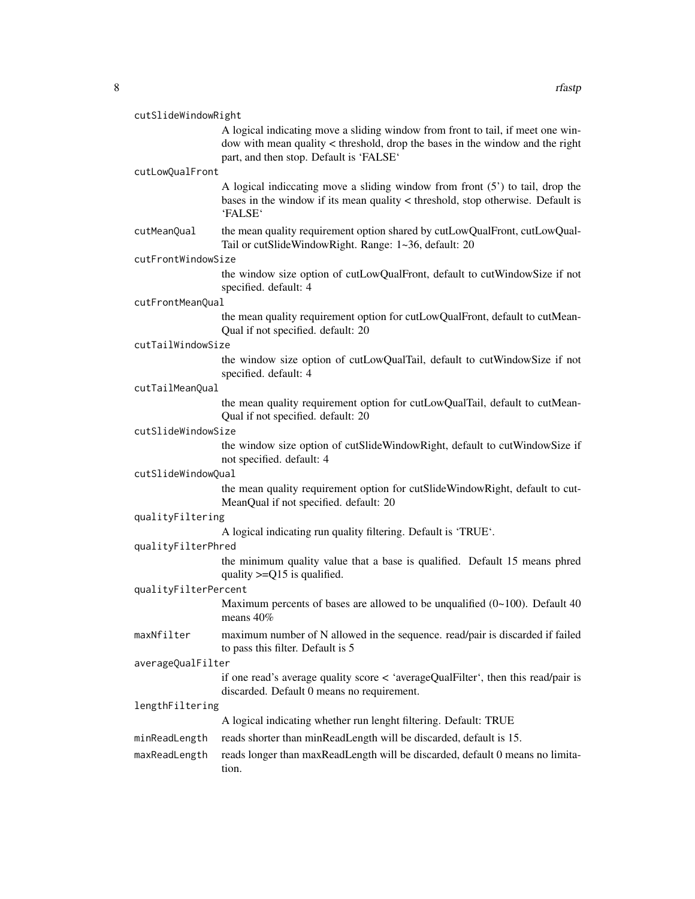A logical indicating move a sliding window from front to tail, if meet one window with mean quality < threshold, drop the bases in the window and the right part, and then stop. Default is 'FALSE'

#### cutLowQualFront

A logical indiccating move a sliding window from front (5') to tail, drop the bases in the window if its mean quality < threshold, stop otherwise. Default is 'FALSE'

cutMeanQual the mean quality requirement option shared by cutLowQualFront, cutLowQual-Tail or cutSlideWindowRight. Range: 1~36, default: 20

#### cutFrontWindowSize

the window size option of cutLowQualFront, default to cutWindowSize if not specified. default: 4

#### cutFrontMeanQual

the mean quality requirement option for cutLowQualFront, default to cutMean-Qual if not specified. default: 20

#### cutTailWindowSize

the window size option of cutLowQualTail, default to cutWindowSize if not specified. default: 4

#### cutTailMeanQual

the mean quality requirement option for cutLowQualTail, default to cutMean-Qual if not specified. default: 20

### cutSlideWindowSize

the window size option of cutSlideWindowRight, default to cutWindowSize if not specified. default: 4

#### cutSlideWindowQual

the mean quality requirement option for cutSlideWindowRight, default to cut-MeanQual if not specified. default: 20

#### qualityFiltering

A logical indicating run quality filtering. Default is 'TRUE'.

#### qualityFilterPhred

the minimum quality value that a base is qualified. Default 15 means phred quality  $>=Q15$  is qualified.

# qualityFilterPercent

Maximum percents of bases are allowed to be unqualified  $(0 \sim 100)$ . Default 40 means 40%

maxNfilter maximum number of N allowed in the sequence. read/pair is discarded if failed to pass this filter. Default is 5

# averageQualFilter

if one read's average quality score < 'averageQualFilter', then this read/pair is discarded. Default 0 means no requirement.

#### lengthFiltering

A logical indicating whether run lenght filtering. Default: TRUE

minReadLength reads shorter than minReadLength will be discarded, default is 15.

# maxReadLength reads longer than maxReadLength will be discarded, default 0 means no limitation.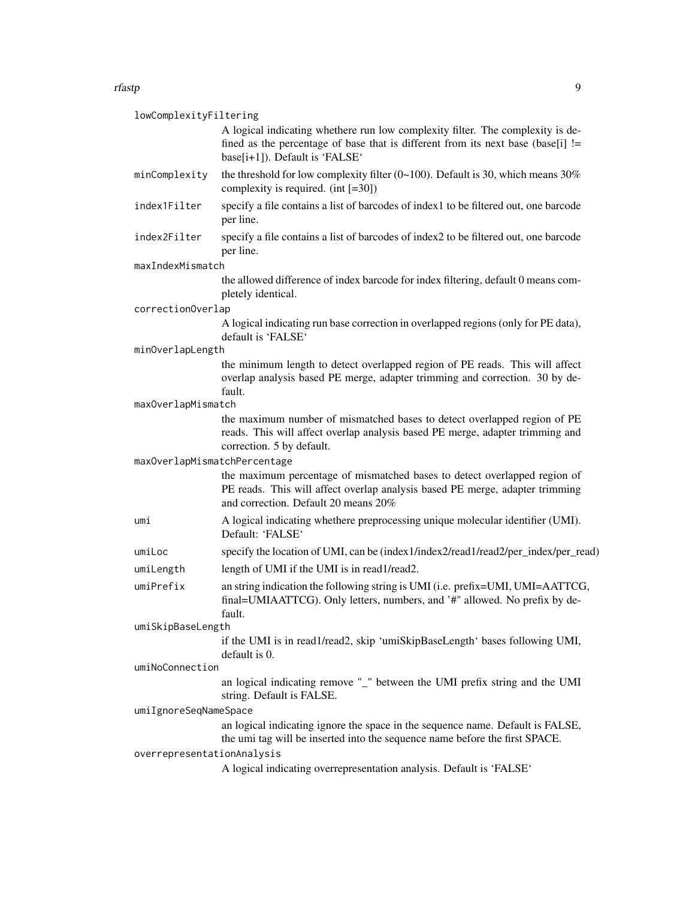#### rfastp $\qquad \qquad \qquad 9$

| lowComplexityFiltering       |                                                                                                                                                                                                      |
|------------------------------|------------------------------------------------------------------------------------------------------------------------------------------------------------------------------------------------------|
|                              | A logical indicating whethere run low complexity filter. The complexity is de-<br>fined as the percentage of base that is different from its next base (base[i] !=<br>base[i+1]). Default is 'FALSE' |
| minComplexity                | the threshold for low complexity filter (0~100). Default is 30, which means $30\%$<br>complexity is required. (int $[=30]$ )                                                                         |
| index1Filter                 | specify a file contains a list of barcodes of index1 to be filtered out, one barcode<br>per line.                                                                                                    |
| index2Filter                 | specify a file contains a list of barcodes of index2 to be filtered out, one barcode<br>per line.                                                                                                    |
| maxIndexMismatch             |                                                                                                                                                                                                      |
|                              | the allowed difference of index barcode for index filtering, default 0 means com-<br>pletely identical.                                                                                              |
| correctionOverlap            |                                                                                                                                                                                                      |
|                              | A logical indicating run base correction in overlapped regions (only for PE data),<br>default is 'FALSE'                                                                                             |
| minOverlapLength             |                                                                                                                                                                                                      |
|                              | the minimum length to detect overlapped region of PE reads. This will affect<br>overlap analysis based PE merge, adapter trimming and correction. 30 by de-<br>fault.                                |
| maxOverlapMismatch           |                                                                                                                                                                                                      |
|                              | the maximum number of mismatched bases to detect overlapped region of PE<br>reads. This will affect overlap analysis based PE merge, adapter trimming and<br>correction. 5 by default.               |
| maxOverlapMismatchPercentage |                                                                                                                                                                                                      |
|                              | the maximum percentage of mismatched bases to detect overlapped region of<br>PE reads. This will affect overlap analysis based PE merge, adapter trimming<br>and correction. Default 20 means 20%    |
| umi                          | A logical indicating whethere preprocessing unique molecular identifier (UMI).<br>Default: 'FALSE'                                                                                                   |
| umiLoc                       | specify the location of UMI, can be (index 1/index 2/read 1/read 2/per_index/per_read)                                                                                                               |
| umiLength                    | length of UMI if the UMI is in read1/read2.                                                                                                                                                          |
| umiPrefix                    | an string indication the following string is UMI (i.e. prefix=UMI, UMI=AATTCG,<br>final=UMIAATTCG). Only letters, numbers, and '#" allowed. No prefix by de-<br>fault.                               |
| umiSkipBaseLength            |                                                                                                                                                                                                      |
|                              | if the UMI is in read1/read2, skip 'umiSkipBaseLength' bases following UMI,<br>default is 0.                                                                                                         |
| umiNoConnection              |                                                                                                                                                                                                      |
|                              | an logical indicating remove "_" between the UMI prefix string and the UMI<br>string. Default is FALSE.                                                                                              |
| umiIgnoreSeqNameSpace        |                                                                                                                                                                                                      |
|                              | an logical indicating ignore the space in the sequence name. Default is FALSE,<br>the umi tag will be inserted into the sequence name before the first SPACE.                                        |
| overrepresentationAnalysis   | A logical indicating overrepresentation analysis. Default is 'FALSE'                                                                                                                                 |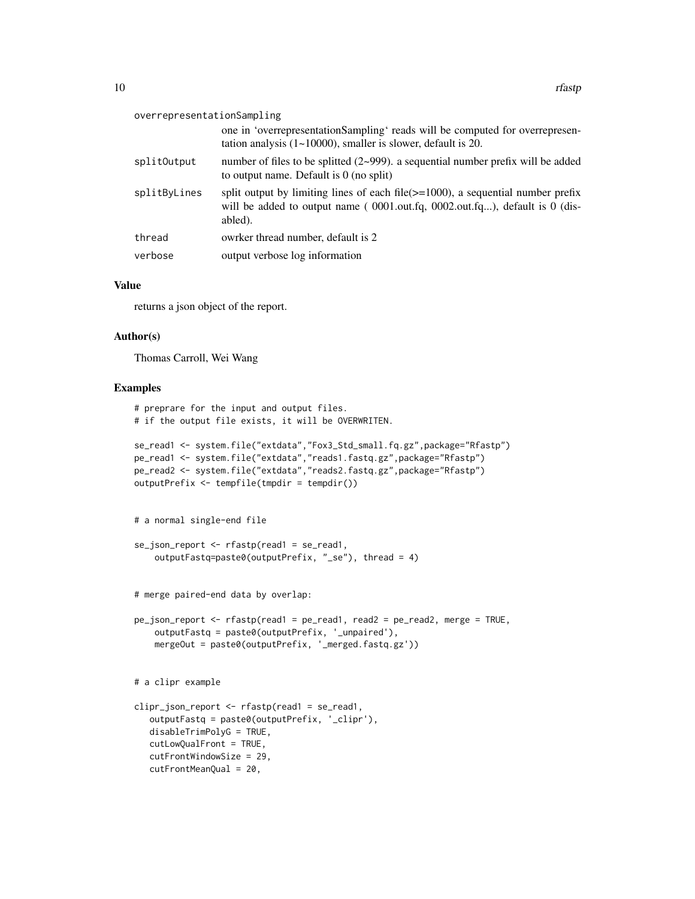#### overrepresentationSampling

|              | one in 'overrepresentationSampling' reads will be computed for overrepresen-<br>tation analysis $(1 \sim 10000)$ , smaller is slower, default is 20.                             |
|--------------|----------------------------------------------------------------------------------------------------------------------------------------------------------------------------------|
| splitOutput  | number of files to be splitted $(2{\sim}999)$ . a sequential number prefix will be added<br>to output name. Default is $0$ (no split)                                            |
| splitByLines | split output by limiting lines of each file $(>=1000)$ , a sequential number prefix<br>will be added to output name $(0001.out.fq, 0002.out.fq)$ , default is 0 (dis-<br>abled). |
| thread       | owrker thread number, default is 2                                                                                                                                               |
| verbose      | output verbose log information                                                                                                                                                   |

#### Value

returns a json object of the report.

# Author(s)

Thomas Carroll, Wei Wang

#### Examples

```
# preprare for the input and output files.
# if the output file exists, it will be OVERWRITEN.
se_read1 <- system.file("extdata","Fox3_Std_small.fq.gz",package="Rfastp")
pe_read1 <- system.file("extdata","reads1.fastq.gz",package="Rfastp")
pe_read2 <- system.file("extdata","reads2.fastq.gz",package="Rfastp")
outputPrefix <- tempfile(tmpdir = tempdir())
# a normal single-end file
se_json_report \leftarrow rfastp(read1 = se_read1,outputFastq=paste0(outputPrefix, "_se"), thread = 4)
# merge paired-end data by overlap:
pe_json_report <- rfastp(read1 = pe_read1, read2 = pe_read2, merge = TRUE,
    outputFastq = paste0(outputPrefix, '_unpaired'),
    mergeOut = paste0(outputPrefix, '_merged.fastq.gz'))
# a clipr example
clipr_json_report <- rfastp(read1 = se_read1,
   outputFastq = paste0(outputPrefix, '_clipr'),
   disableTrimPolyG = TRUE,
   cutLowQualFront = TRUE,
   cutFrontWindowSize = 29,
   cutFrontMeanQual = 20,
```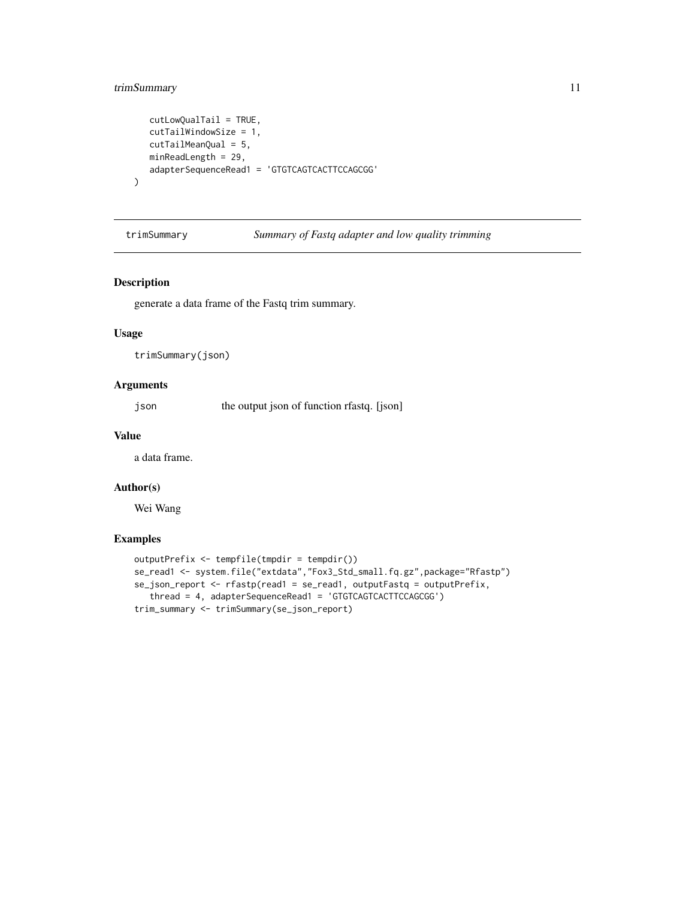# <span id="page-10-0"></span>trimSummary 11

```
cutLowQualTail = TRUE,
   cutTailWindowSize = 1,
  cutTailMeanQual = 5,
  minReadLength = 29,
   adapterSequenceRead1 = 'GTGTCAGTCACTTCCAGCGG'
\mathcal{L}
```
trimSummary *Summary of Fastq adapter and low quality trimming*

# Description

generate a data frame of the Fastq trim summary.

# Usage

trimSummary(json)

### Arguments

json the output json of function rfastq. [json]

# Value

a data frame.

# Author(s)

Wei Wang

# Examples

```
outputPrefix <- tempfile(tmpdir = tempdir())
se_read1 <- system.file("extdata","Fox3_Std_small.fq.gz",package="Rfastp")
se_json_report <- rfastp(read1 = se_read1, outputFastq = outputPrefix,
   thread = 4, adapterSequenceRead1 = 'GTGTCAGTCACTTCCAGCGG')
trim_summary <- trimSummary(se_json_report)
```